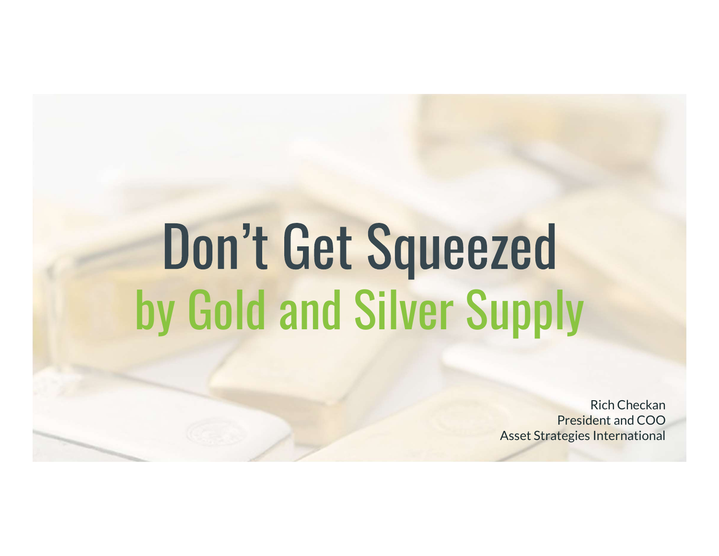# Don't Get Squeezed by Gold and Silver Supply

Rich Checkan President and COO Asset Strategies International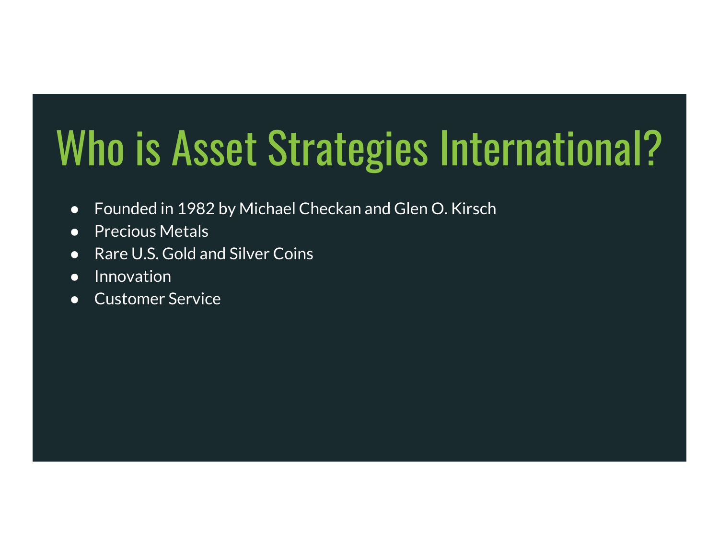### Who is Asset Strategies International?

- Founded in 1982 by Michael Checkan and Glen O. Kirsch
- Precious Metals
- Rare U.S. Gold and Silver Coins
- Innovation
- Customer Service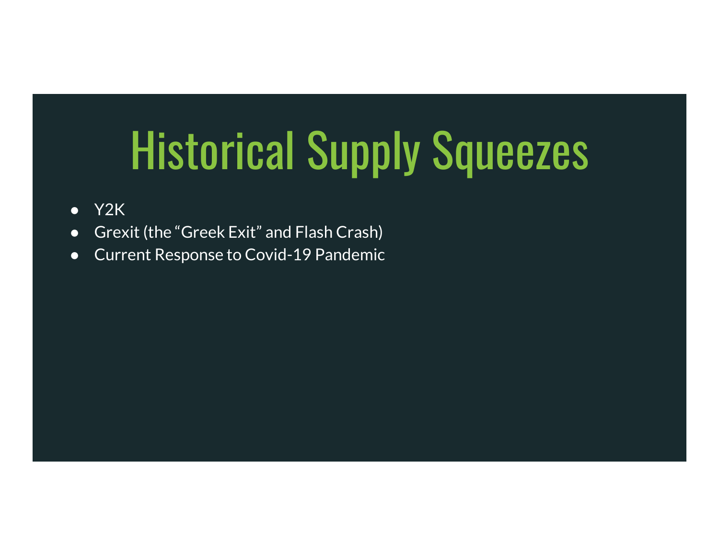# Historical Supply Squeezes

- $\bullet$  Y2K
- Grexit (the "Greek Exit" and Flash Crash)
- Current Response to Covid-19 Pandemic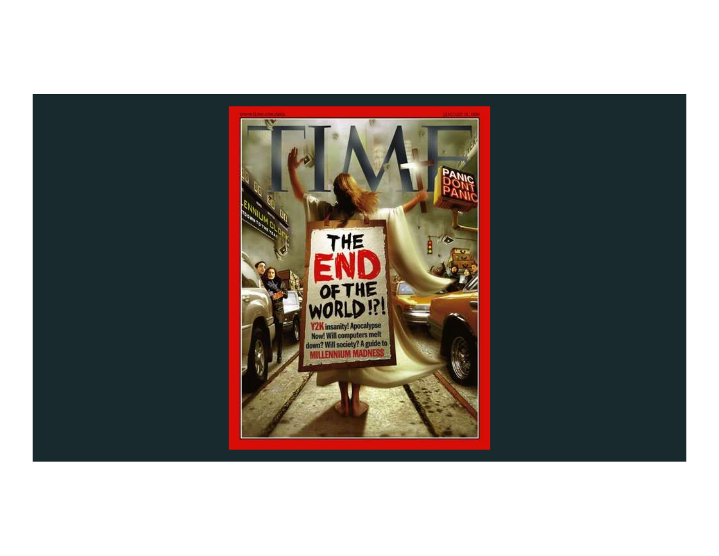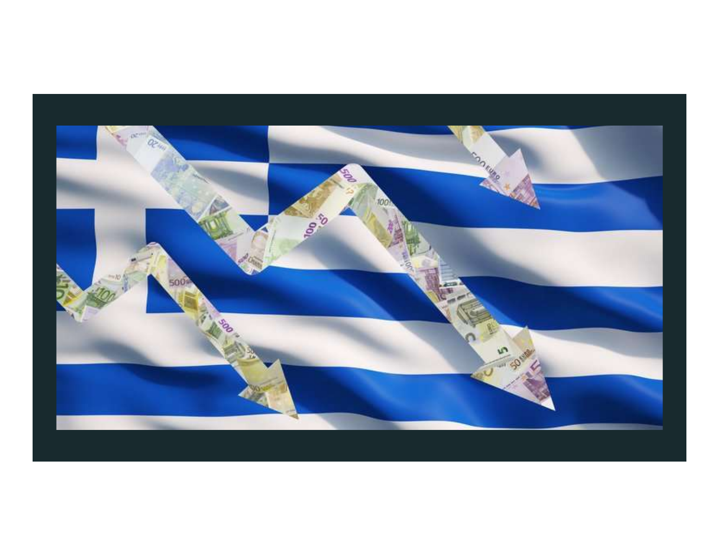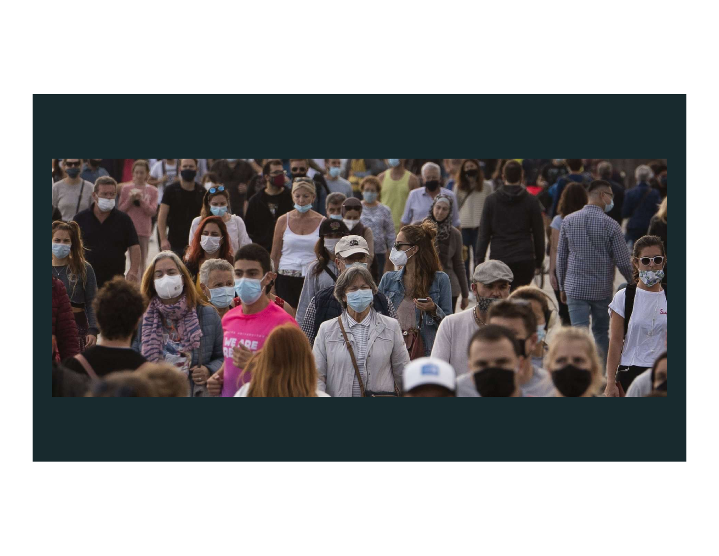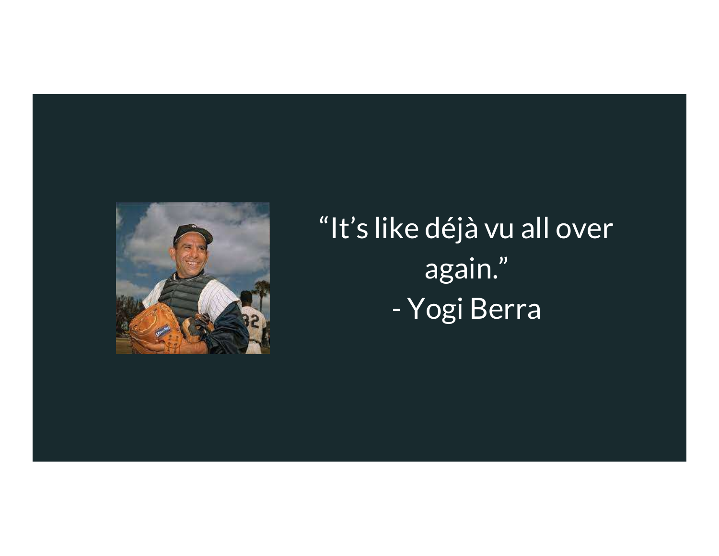

# "It's like déjà vu all over again." ke déjà vu all over<br>again."<br>- Yogi Berra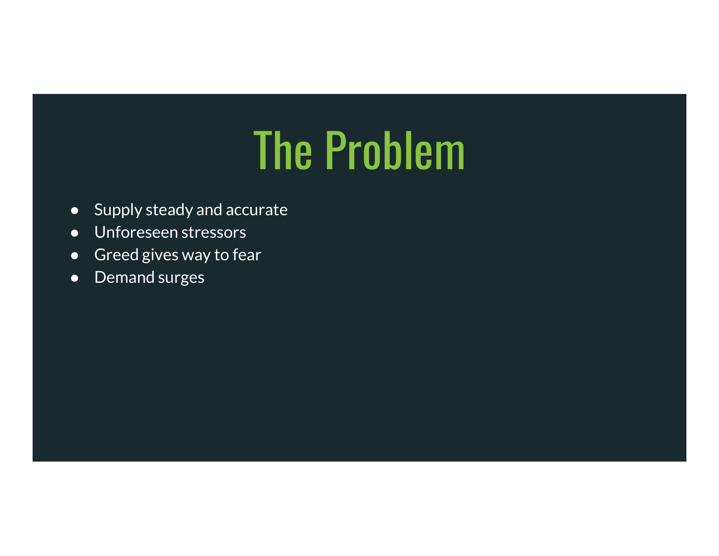# The Problem

- Supply steady and accurate
- Unforeseen stressors
- Greed gives way to fear
- Demand surges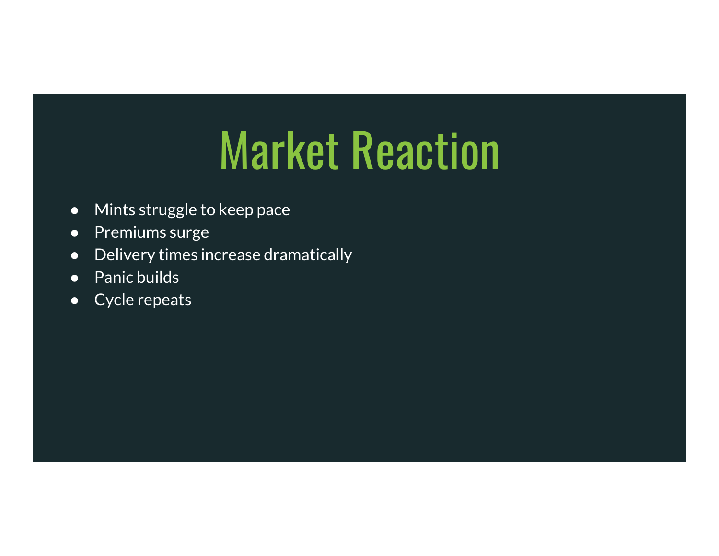# Market Reaction

- Mints struggle to keep pace
- Premiums surge
- Delivery times increase dramatically
- Panic builds
- Cycle repeats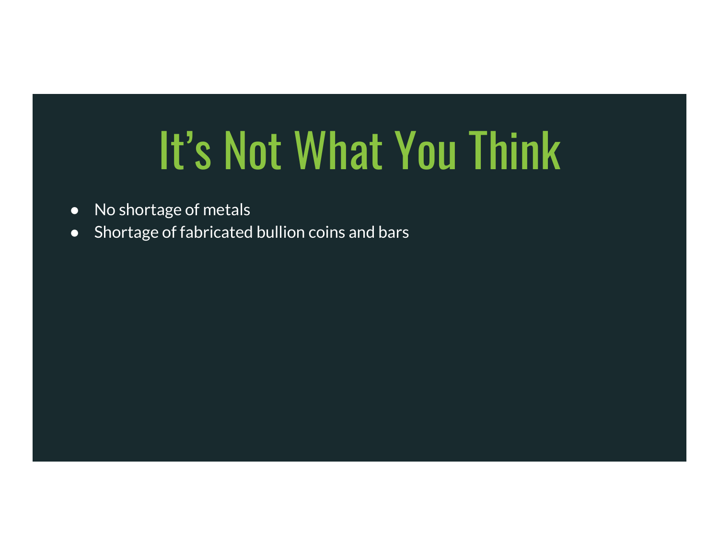# It's Not What You Think

- No shortage of metals
- Shortage of fabricated bullion coins and bars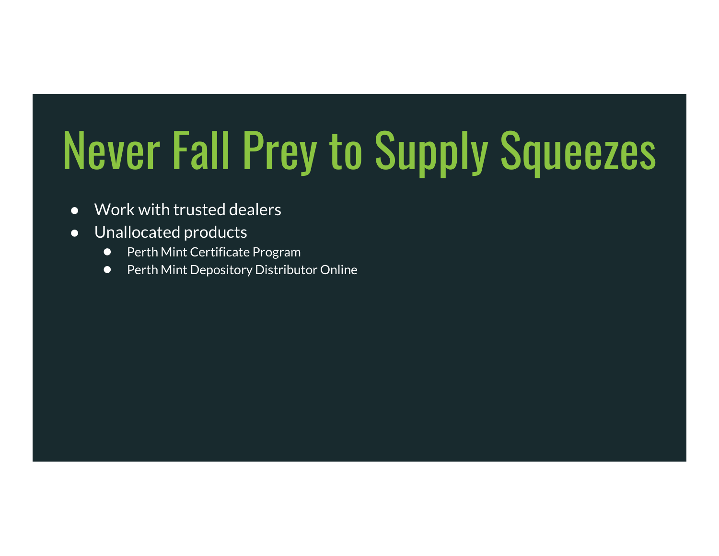# Never Fall Prey to Supply Squeezes

- Work with trusted dealers
- Unallocated products
	- Perth Mint Certificate Program
	- Perth Mint Depository Distributor Online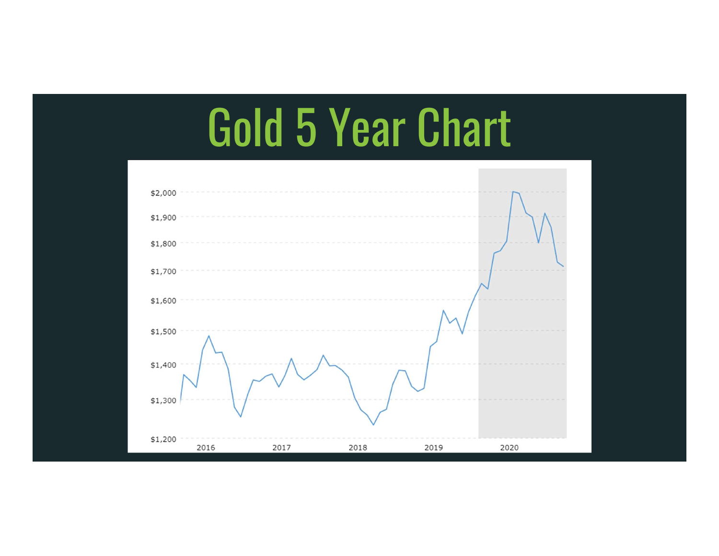# Gold 5 Year Chart

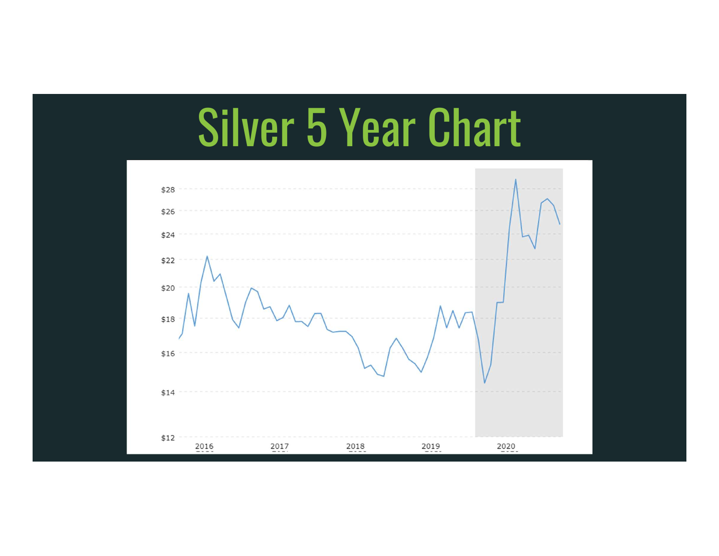# Silver 5 Year Chart

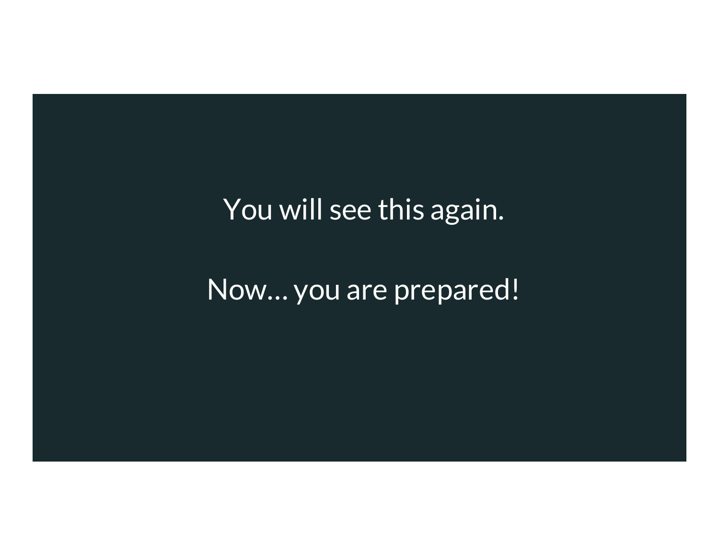#### You will see this again.

#### Now… you are prepared!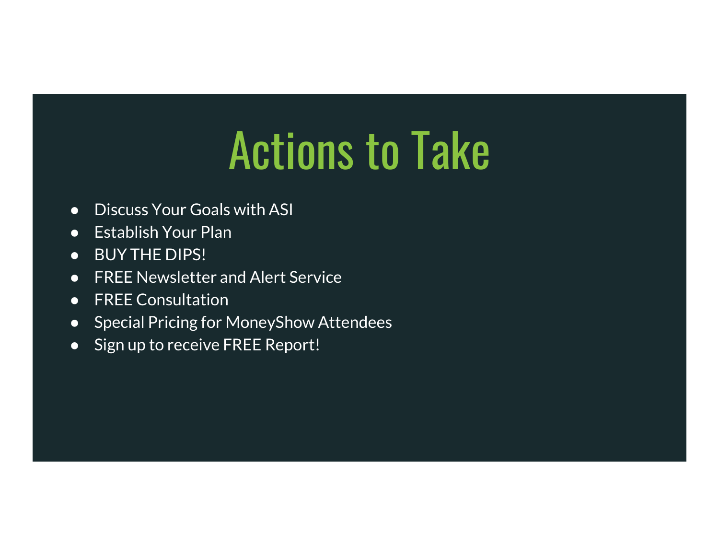# Actions to Take

- Discuss Your Goals with ASI
- Establish Your Plan
- BUY THE DIPS!
- FREE Newsletter and Alert Service
- FREE Consultation
- Special Pricing for MoneyShow Attendees
- Sign up to receive FREE Report!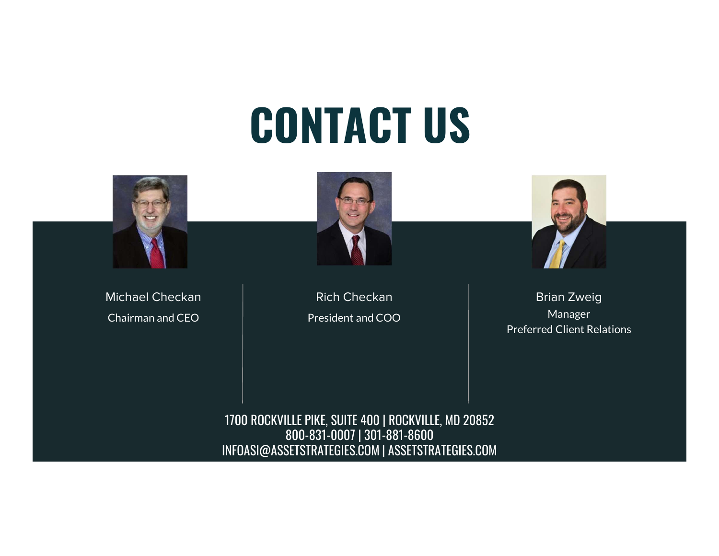## CONTACT US



Michael Checkan



Rich Checkan



Chairman and CEO President and COO Brian Zweig Manager Preferred Client Relations

> 1700 ROCKVILLE PIKE, SUITE 400 | ROCKVILLE, MD 20852 800-831-0007 | 301-881-8600 INFOASI@ASSETSTRATEGIES.COM | ASSETSTRATEGIES.COM